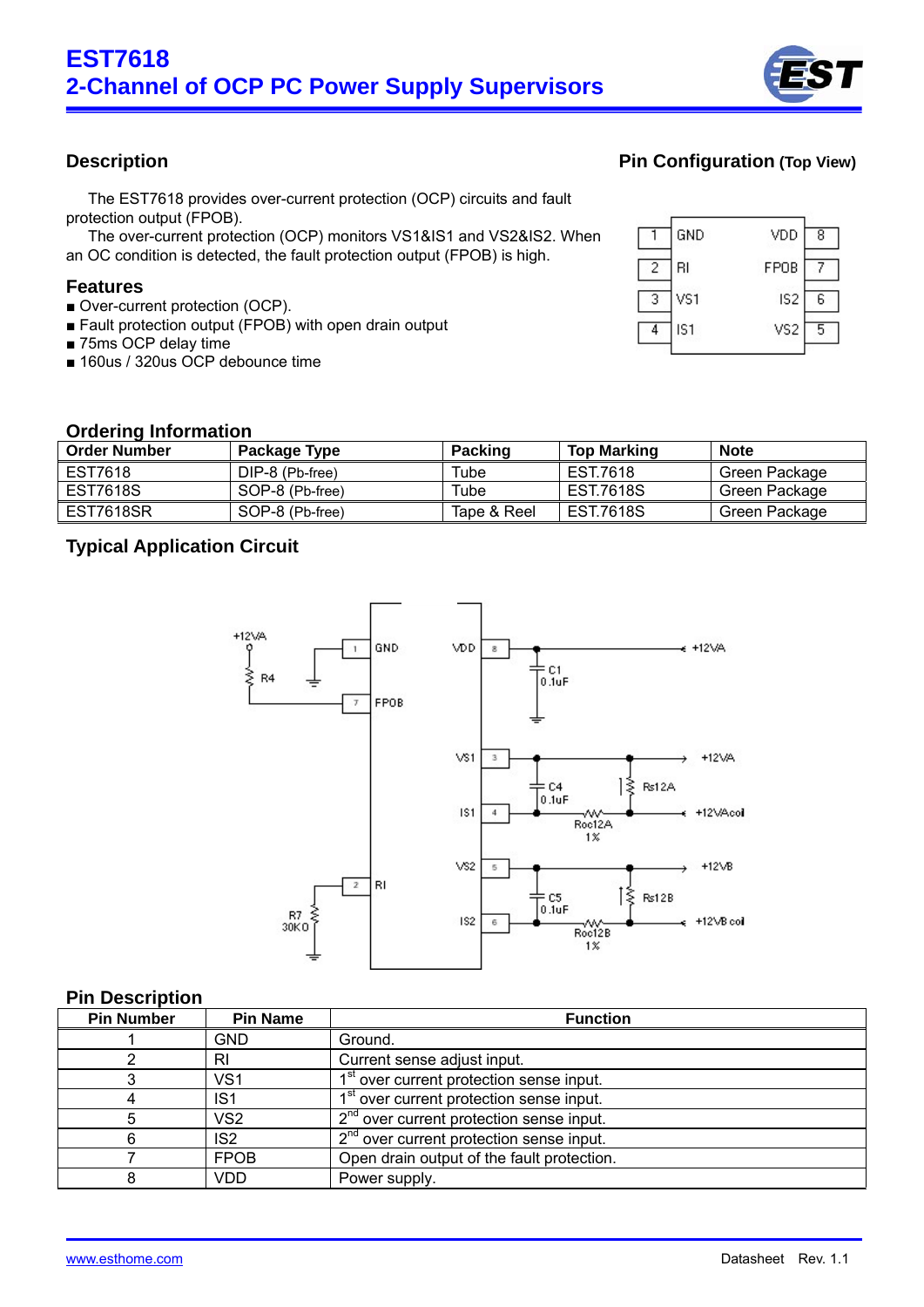

The EST7618 provides over-current protection (OCP) circuits and fault protection output (FPOB).

The over-current protection (OCP) monitors VS1&IS1 and VS2&IS2. When an OC condition is detected, the fault protection output (FPOB) is high.

#### **Features**

- Over-current protection (OCP).
- Fault protection output (FPOB) with open drain output
- 75ms OCP delay time
- 160us / 320us OCP debounce time

## **Description Pin Configuration (Top View)**



#### **Ordering Information**

| <b>Order Number</b> | Package Type    | <b>Packing</b> | <b>Top Marking</b> | <b>Note</b>   |
|---------------------|-----------------|----------------|--------------------|---------------|
| EST7618             | DIP-8 (Pb-free) | Tube           | EST.7618           | Green Package |
| EST7618S            | SOP-8 (Pb-free) | Tube           | EST.7618S          | Green Package |
| EST7618SR           | SOP-8 (Pb-free) | Tape & Reel    | EST.7618S          | Green Package |

### **Typical Application Circuit**



#### **Pin Description**

| <b>Pin Number</b> | <b>Pin Name</b> | <b>Function</b>                                      |
|-------------------|-----------------|------------------------------------------------------|
|                   | <b>GND</b>      | Ground.                                              |
|                   | RI              | Current sense adjust input.                          |
|                   | VS <sub>1</sub> | 1 <sup>st</sup> over current protection sense input. |
| 4                 | IS <sub>1</sub> | 1 <sup>st</sup> over current protection sense input. |
| 5                 | VS <sub>2</sub> | 2 <sup>nd</sup> over current protection sense input. |
| 6                 | IS <sub>2</sub> | 2 <sup>nd</sup> over current protection sense input. |
|                   | <b>FPOB</b>     | Open drain output of the fault protection.           |
|                   | VDD             | Power supply.                                        |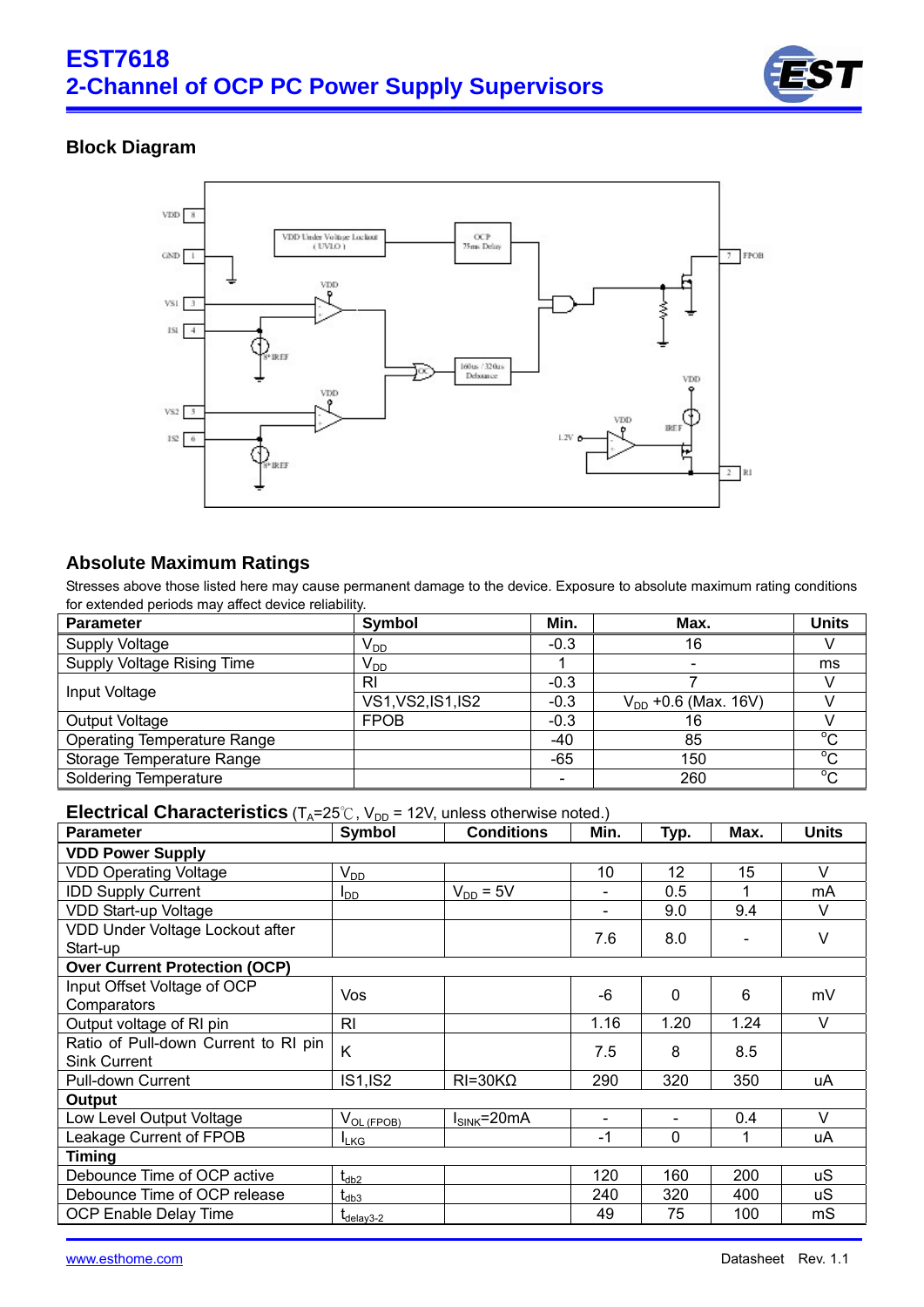

# **Block Diagram**



## **Absolute Maximum Ratings**

Stresses above those listed here may cause permanent damage to the device. Exposure to absolute maximum rating conditions for extended periods may affect device reliability.

| <b>Parameter</b>                   | Symbol             | Min.                     | Max.                     | <b>Units</b> |
|------------------------------------|--------------------|--------------------------|--------------------------|--------------|
| Supply Voltage                     | $V_{DD}$           | $-0.3$                   | 16                       |              |
| Supply Voltage Rising Time         | $V_{DD}$           |                          |                          | ms           |
| Input Voltage                      | RI                 | $-0.3$                   |                          |              |
|                                    | VS1, VS2, IS1, IS2 | $-0.3$                   | $V_{DD}$ +0.6 (Max. 16V) |              |
| Output Voltage                     | <b>FPOB</b>        | $-0.3$                   | 16                       |              |
| <b>Operating Temperature Range</b> |                    | $-40$                    | 85                       | $^{\circ}C$  |
| Storage Temperature Range          |                    | -65                      | 150                      | $^{\circ}C$  |
| <b>Soldering Temperature</b>       |                    | $\overline{\phantom{a}}$ | 260                      | $^{\circ}C$  |

#### **Electrical Characteristics** ( $T_A = 25^\circ \text{C}$ ,  $V_{DD} = 12 \text{V}$ , unless otherwise noted.)

| <b>Parameter</b>                     | Symbol                | <b>Conditions</b> | Min.                     | <u>Тур.</u>              | Max. | <b>Units</b> |
|--------------------------------------|-----------------------|-------------------|--------------------------|--------------------------|------|--------------|
| <b>VDD Power Supply</b>              |                       |                   |                          |                          |      |              |
| <b>VDD Operating Voltage</b>         | $V_{DD}$              |                   | 10                       | 12                       | 15   | $\vee$       |
| <b>IDD Supply Current</b>            | $I_{DD}$              | $V_{DD} = 5V$     |                          | 0.5                      |      | mA           |
| VDD Start-up Voltage                 |                       |                   | $\blacksquare$           | 9.0                      | 9.4  | V            |
| VDD Under Voltage Lockout after      |                       |                   | 7.6                      | 8.0                      |      | V            |
| Start-up                             |                       |                   |                          |                          |      |              |
| <b>Over Current Protection (OCP)</b> |                       |                   |                          |                          |      |              |
| Input Offset Voltage of OCP          | <b>Vos</b>            |                   | -6                       | $\Omega$                 | 6    | mV           |
| Comparators                          |                       |                   |                          |                          |      |              |
| Output voltage of RI pin             | R <sub>l</sub>        |                   | 1.16                     | 1.20                     | 1.24 | $\vee$       |
| Ratio of Pull-down Current to RI pin | K                     |                   | 7.5                      | 8                        | 8.5  |              |
| <b>Sink Current</b>                  |                       |                   |                          |                          |      |              |
| Pull-down Current                    | <b>IS1,IS2</b>        | $RI=30K\Omega$    | 290                      | 320                      | 350  | uA           |
| Output                               |                       |                   |                          |                          |      |              |
| Low Level Output Voltage             | $V_{OL (FPOB)}$       | $I_{SINK}$ =20mA  | $\overline{\phantom{a}}$ | $\overline{\phantom{a}}$ | 0.4  | $\vee$       |
| Leakage Current of FPOB              | <b>I</b> LKG          |                   | -1                       | $\Omega$                 | 1    | uA           |
| <b>Timing</b>                        |                       |                   |                          |                          |      |              |
| Debounce Time of OCP active          | $t_{db2}$             |                   | 120                      | 160                      | 200  | uS           |
| Debounce Time of OCP release         | $\rm t_{db3}$         |                   | 240                      | 320                      | 400  | uS           |
| <b>OCP Enable Delay Time</b>         | $\tau_{\rm delay3-2}$ |                   | 49                       | 75                       | 100  | mS           |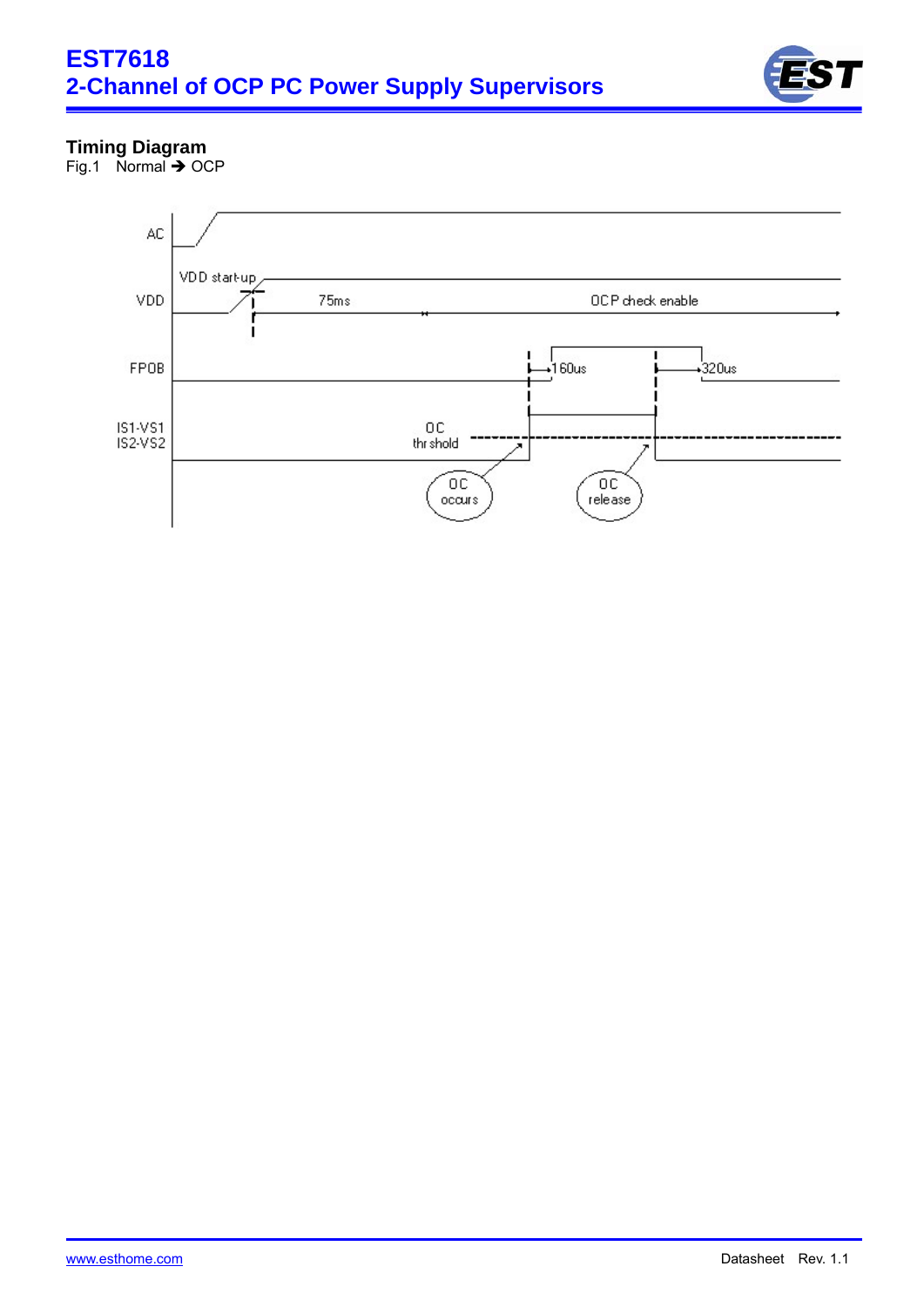

# **Timing Diagram**

Fig.1 Normal  $\rightarrow$  OCP

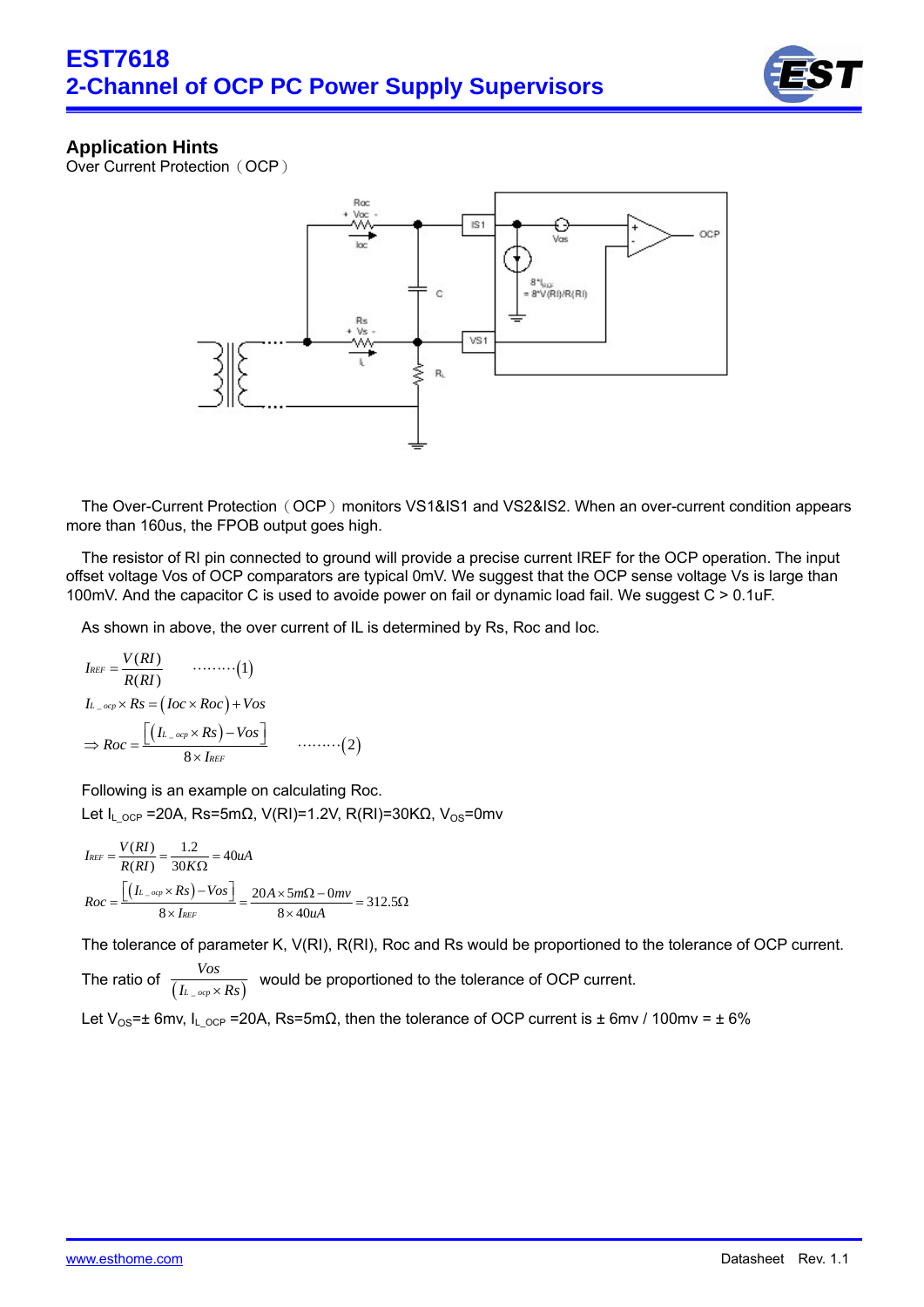

## **Application Hints**

Over Current Protection (OCP)



The Over-Current Protection (OCP) monitors VS1&IS1 and VS2&IS2. When an over-current condition appears more than 160us, the FPOB output goes high.

The resistor of RI pin connected to ground will provide a precise current IREF for the OCP operation. The input offset voltage Vos of OCP comparators are typical 0mV. We suggest that the OCP sense voltage Vs is large than 100mV. And the capacitor C is used to avoide power on fail or dynamic load fail. We suggest C > 0.1uF.

As shown in above, the over current of IL is determined by Rs, Roc and Ioc.

$$
I_{REF} = \frac{V(RI)}{R(RI)} \qquad \qquad \dots \dots \dots \dots (1)
$$
  
\n
$$
I_{L\_ocp} \times Rs = (Ioc \times Roc) + Vos
$$
  
\n
$$
\Rightarrow Roc = \frac{\left[ (I_{L\_ocp} \times Rs) - Vos \right]}{8 \times I_{REF}} \qquad \dots \dots \dots \dots (2)
$$

 Following is an example on calculating Roc. Let I<sub>L OCP</sub> =20A, Rs=5mΩ, V(RI)=1.2V, R(RI)=30KΩ, V<sub>OS</sub>=0mv

$$
I_{REF} = \frac{V(RI)}{R(RI)} = \frac{1.2}{30K\Omega} = 40uA
$$
  

$$
Roc = \frac{\left[\left(I_{L\_orp} \times Rs\right) - Vos\right]}{8 \times I_{REF}} = \frac{20A \times 5m\Omega - 0mv}{8 \times 40uA} = 312.5\Omega
$$

The tolerance of parameter K, V(RI), R(RI), Roc and Rs would be proportioned to the tolerance of OCP current.

The ratio of *Vos I* would be proportioned to the tolerance of OCP current.

Let V<sub>OS</sub>= $\pm$  6mv, I<sub>L OCP</sub> =20A, Rs=5mΩ, then the tolerance of OCP current is  $\pm$  6mv / 100mv =  $\pm$  6%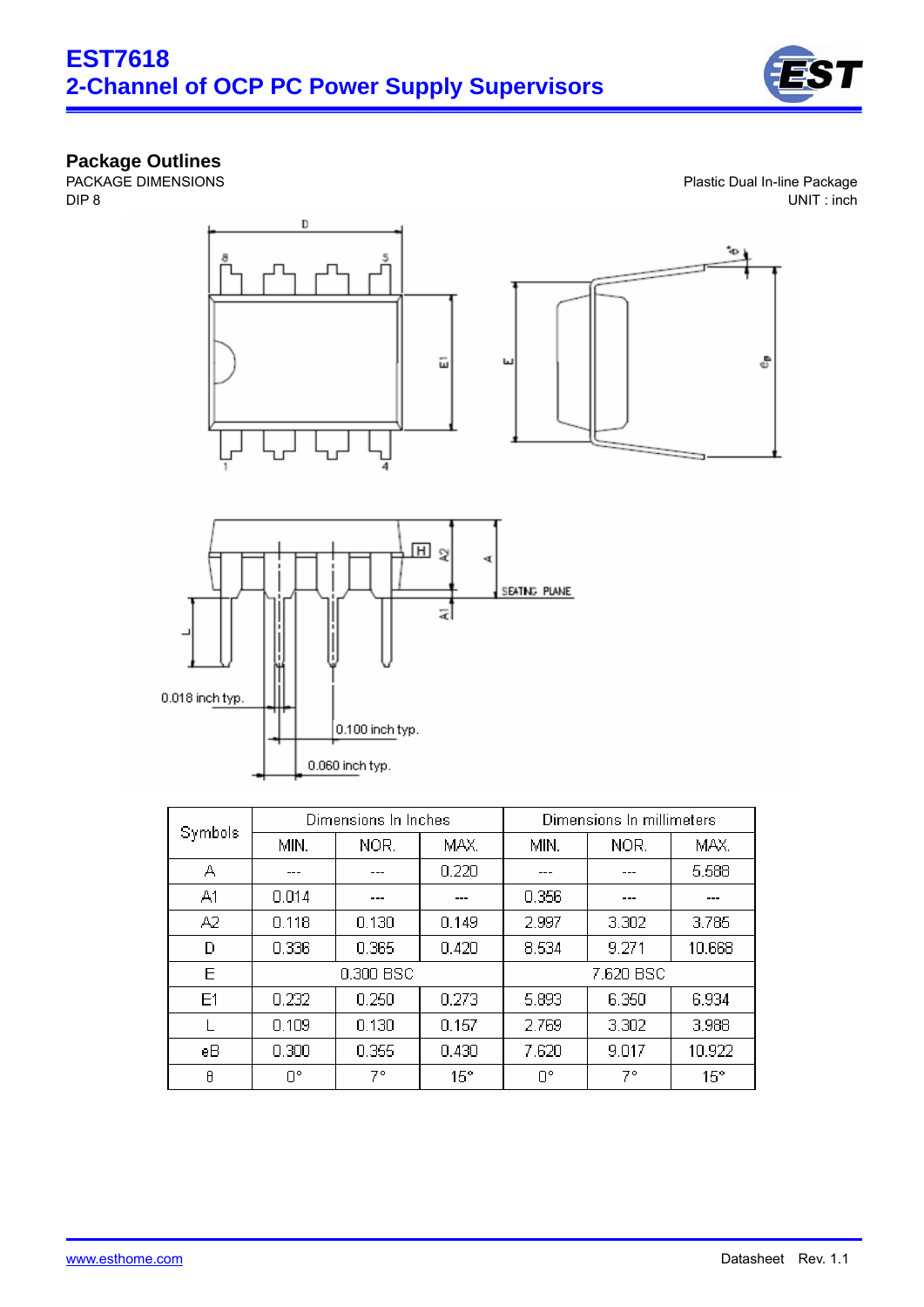

#### **Package Outlines**

PACKAGE DIMENSIONS DIP 8

Plastic Dual In-line Package UNIT : inch





| Symbols |       | Dimensions In Inches |              | Dimensions In millimeters |       |              |  |
|---------|-------|----------------------|--------------|---------------------------|-------|--------------|--|
|         | MIN.  | NOR.                 | MAX.         | MIN.                      | NOR.  | MAX.         |  |
| А       | ---   | ---                  | 0.220        | ---                       | ---   | 5.588        |  |
| A1      | 0.014 | ---                  | ---          | 0.356                     | ---   | ---          |  |
| A2      | 0.118 | 0.130                | 0.149        | 2.997                     | 3.302 | 3.785        |  |
| D       | 0.336 | 0.365                | 0.420        | 8.534                     | 9.271 | 10.668       |  |
| E       |       | 0.300 BSC            |              | 7.620 BSC                 |       |              |  |
| E1      | 0.232 | 0.250                | 0.273        | 5.893                     | 6.350 | 6.934        |  |
|         | 0.109 | 0.130                | 0.157        | 2.769                     | 3.302 | 3.988        |  |
| eB      | 0.300 | 0.355                | 0.430        | 7.620                     | 9.017 | 10.922       |  |
| θ       | O۴    | 7°                   | $15^{\circ}$ | O°                        | 7°    | $15^{\circ}$ |  |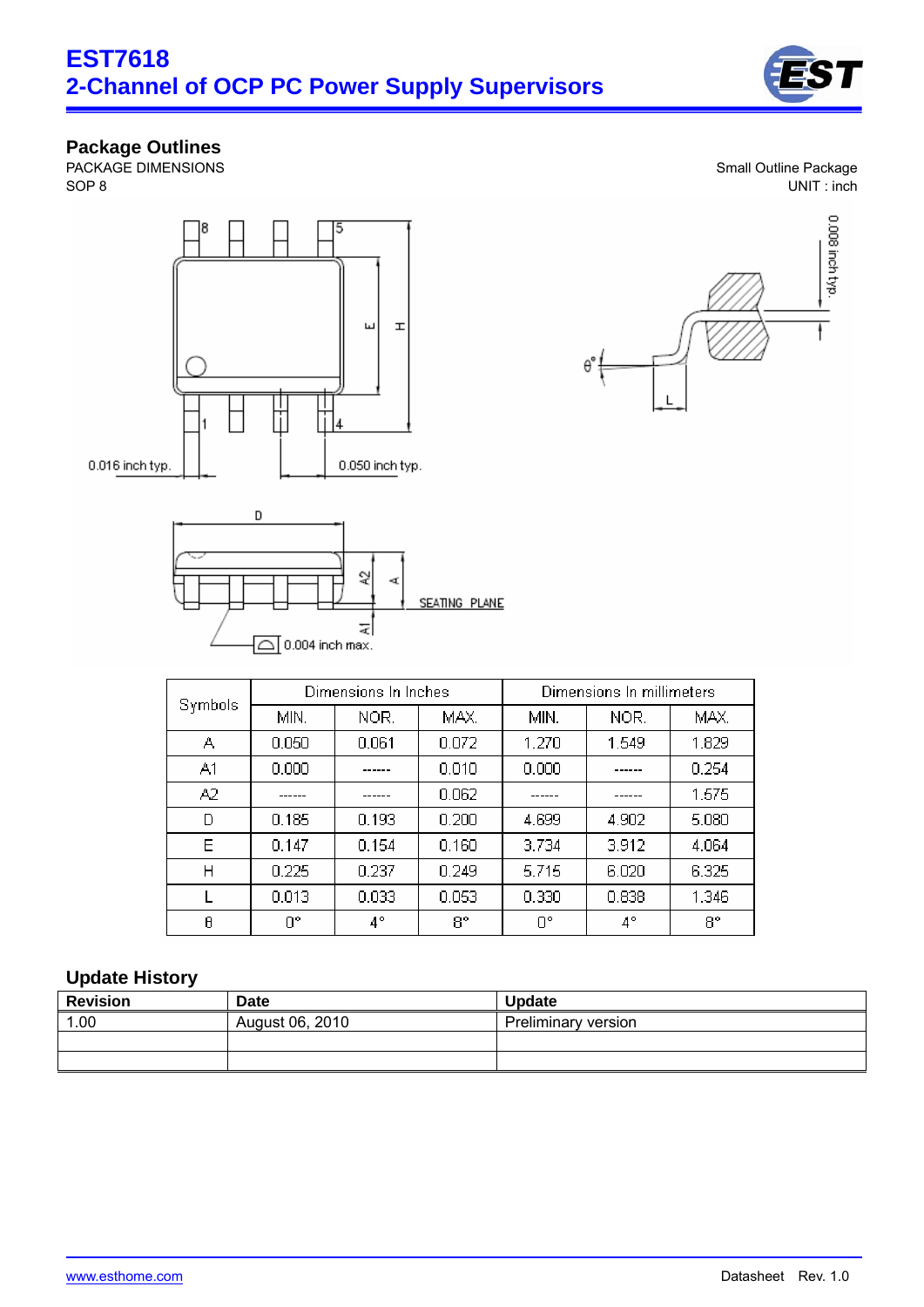

#### **Package Outlines**

PACKAGE DIMENSIONS SOP 8





| Symbols |       | Dimensions In Inches |       | Dimensions In millimeters |             |       |  |
|---------|-------|----------------------|-------|---------------------------|-------------|-------|--|
|         | MIN.  | NOR.                 | MAX.  | MIN.                      | NOR.        | MAX.  |  |
| А       | 0.050 | 0.061                | 0.072 | 1.270                     | 1.549       | 1.829 |  |
| A1      | 0.000 |                      | 0.010 | 0.000                     |             | 0.254 |  |
| A2      |       |                      | 0.062 |                           |             | 1.575 |  |
| D       | 0.185 | 0.193                | 0.200 | 4.699                     | 4.902       | 5.080 |  |
| Ε       | 0.147 | 0.154                | 0.160 | 3.734                     | 3.912       | 4.064 |  |
| Η       | 0.225 | 0.237                | 0.249 | 5.715                     | 6.020       | 6.325 |  |
|         | 0.013 | 0.033                | 0.053 | 0.330                     | 0.838       | 1.346 |  |
| θ       | O°    | 4°                   | 8°    | O°                        | $4^{\circ}$ | 8°    |  |

# **Update History**

| <b>Revision</b> | Date            | <b>Update</b>       |
|-----------------|-----------------|---------------------|
| 1.00            | August 06, 2010 | Preliminary version |
|                 |                 |                     |
|                 |                 |                     |

Small Outline Package UNIT : inch

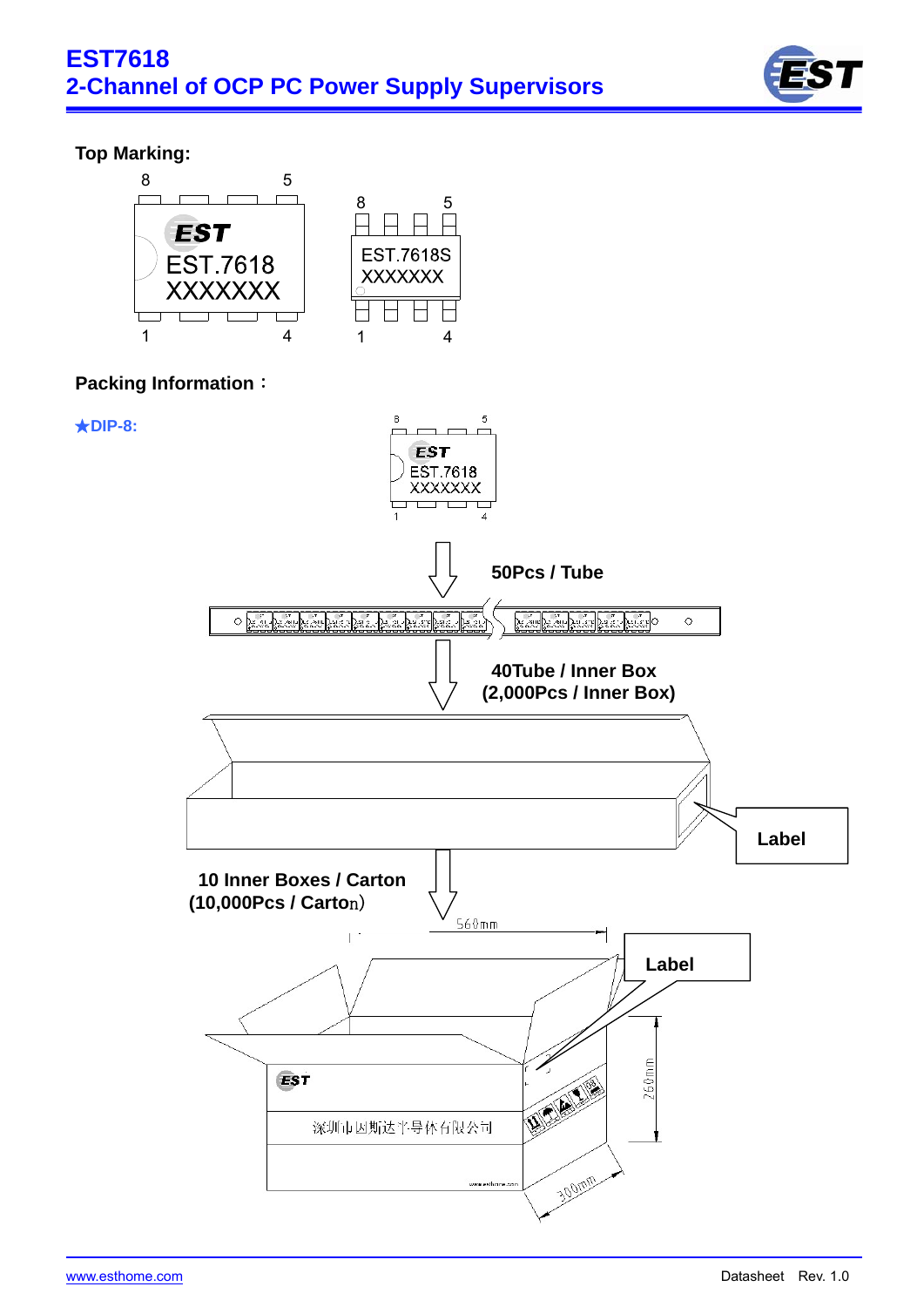

# **Top Marking:**

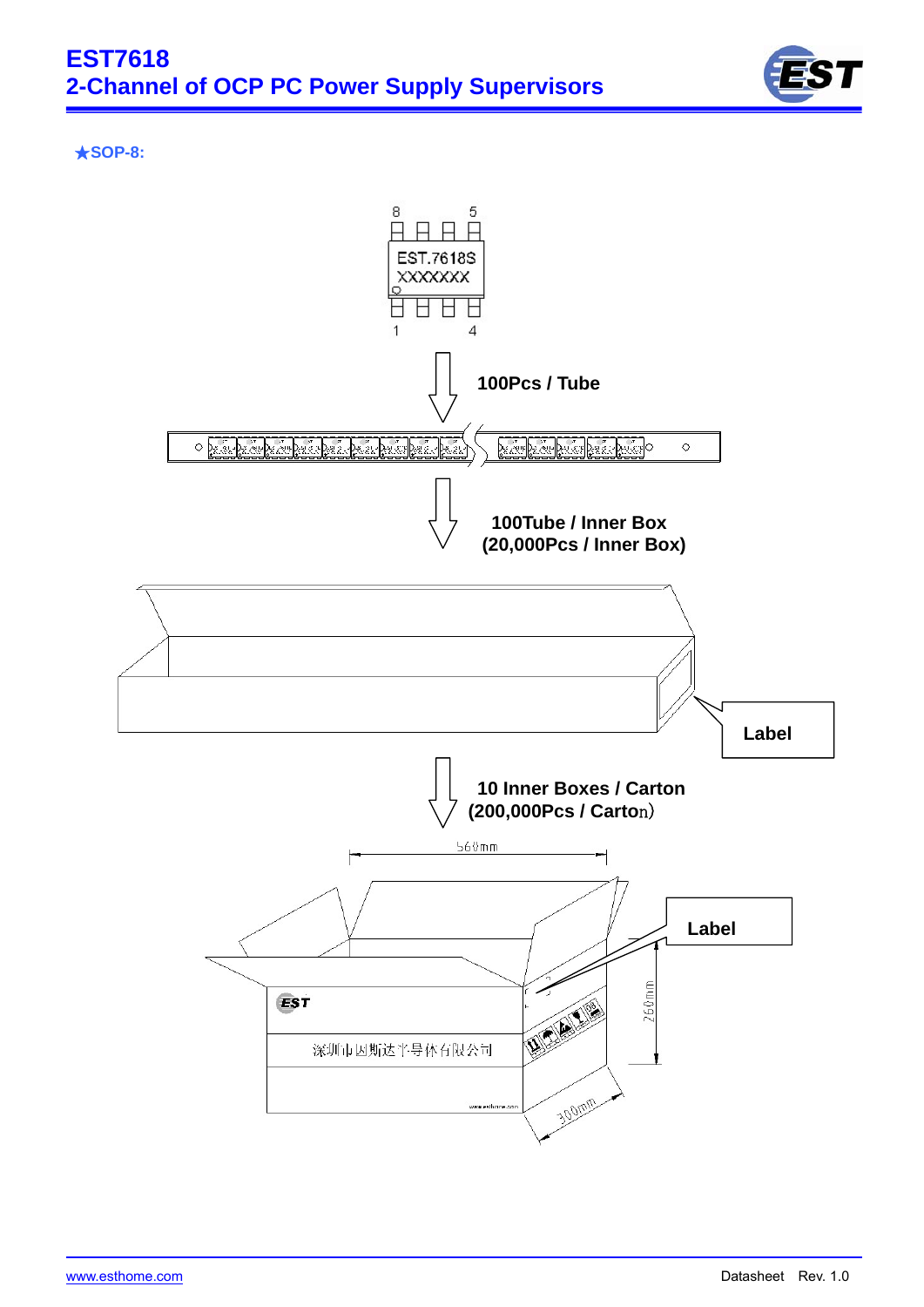

#### ★**SOP-8:**



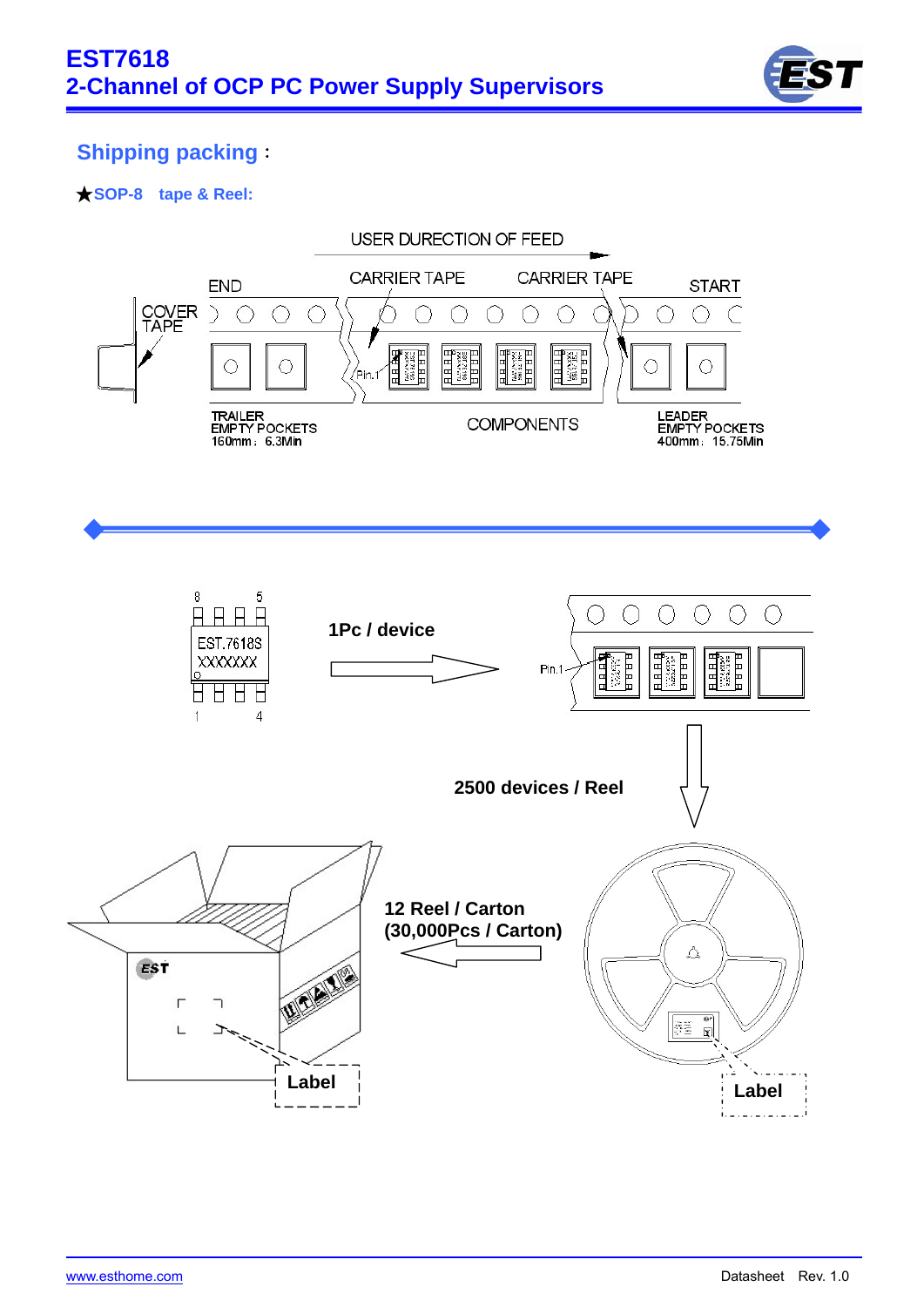

# **Shipping packing**:

### ★**SOP-8 tape & Reel:**

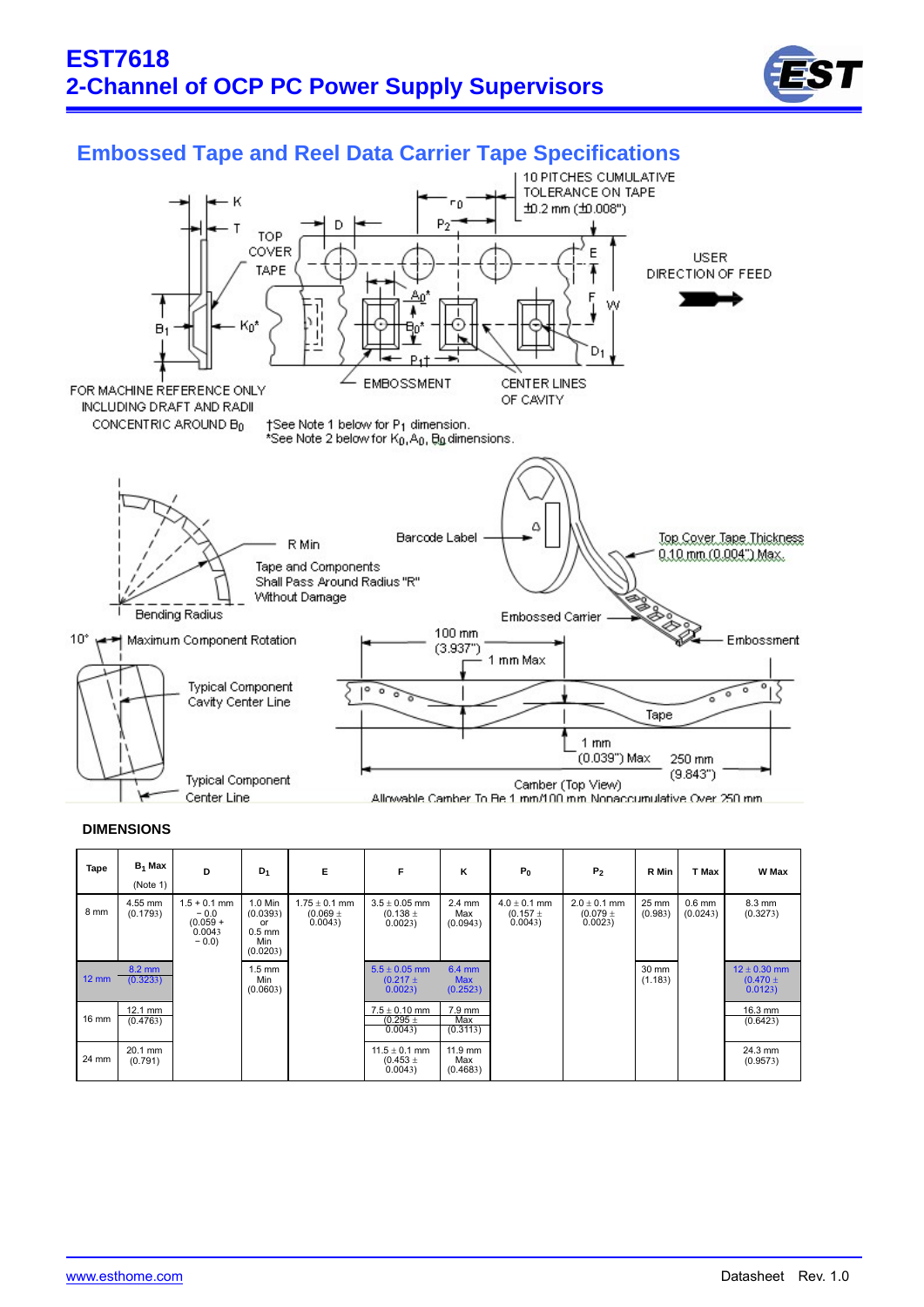



# **Embossed Tape and Reel Data Carrier Tape Specifications**

#### **DIMENSIONS**

| Tape            | $B_1$ Max<br>(Note 1) | D                                                          | $D_1$                                                    | E                                         | F                                           | κ                                            | $P_0$                                    | P <sub>2</sub>                             | R Min            | T Max                | W Max                                      |
|-----------------|-----------------------|------------------------------------------------------------|----------------------------------------------------------|-------------------------------------------|---------------------------------------------|----------------------------------------------|------------------------------------------|--------------------------------------------|------------------|----------------------|--------------------------------------------|
| 8 mm            | 4.55 mm<br>(0.1793)   | $1.5 + 0.1$ mm<br>$-0.0$<br>$(0.059 +$<br>0.0043<br>$-0.0$ | 1.0 Min<br>(0.0393)<br>or<br>$0.5$ mm<br>Min<br>(0.0203) | $1.75 \pm 0.1$ mm<br>$(0.069 +$<br>0.0043 | $3.5 \pm 0.05$ mm<br>$(0.138 \pm$<br>0.0023 | $2.4 \text{ mm}$<br>Max<br>(0.0943)          | $4.0 \pm 0.1$ mm<br>$(0.157 +$<br>0.0043 | $2.0 \pm 0.1$ mm<br>$(0.079 \pm$<br>0.0023 | 25 mm<br>(0.983) | $0.6$ mm<br>(0.0243) | 8.3 mm<br>(0.3273)                         |
| $12 \text{ mm}$ | 8.2 mm<br>(0.3233)    |                                                            | $1.5 \text{ mm}$<br>Min<br>(0.0603)                      |                                           | $5.5 \pm 0.05$ mm<br>$(0.217 \pm$<br>0.0023 | $6.4 \, \text{mm}$<br><b>Max</b><br>(0.2523) |                                          |                                            | 30 mm<br>(1.183) |                      | $12 \pm 0.30$ mm<br>$(0.470 \pm$<br>0.0123 |
| 16 mm           | 12.1 mm<br>(0.4763)   |                                                            |                                                          |                                           | $7.5 \pm 0.10$ mm<br>$(0.295 \pm$<br>0.0043 | 7.9 mm<br>Max<br>(0.3113)                    |                                          |                                            |                  |                      | 16.3 mm<br>(0.6423)                        |
| 24 mm           | 20.1 mm<br>(0.791)    |                                                            |                                                          |                                           | $11.5 \pm 0.1$ mm<br>$(0.453 \pm$<br>0.0043 | $11.9$ mm<br>Max<br>(0.4683)                 |                                          |                                            |                  |                      | 24.3 mm<br>(0.9573)                        |